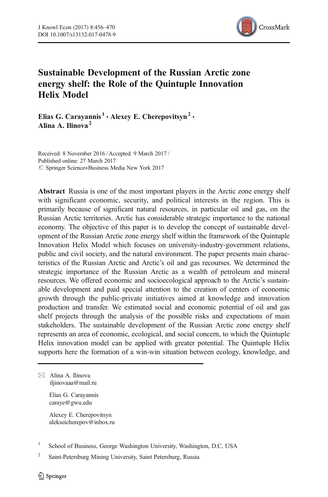

# Sustainable Development of the Russian Arctic zone energy shelf: the Role of the Quintuple Innovation Helix Model

Elias G. Carayannis<sup>1</sup> · Alexey E. Cherepovitsvn<sup>2</sup> · Alina A. Ilinova<sup>2</sup>

Received: 8 November 2016 /Accepted: 9 March 2017 / Published online: 27 March 2017  $\oslash$  Springer Science+Business Media New York 2017

Abstract Russia is one of the most important players in the Arctic zone energy shelf with significant economic, security, and political interests in the region. This is primarily because of significant natural resources, in particular oil and gas, on the Russian Arctic territories. Arctic has considerable strategic importance to the national economy. The objective of this paper is to develop the concept of sustainable development of the Russian Arctic zone energy shelf within the framework of the Quintuple Innovation Helix Model which focuses on university-industry-government relations, public and civil society, and the natural environment. The paper presents main characteristics of the Russian Arctic and Arctic's oil and gas recourses. We determined the strategic importance of the Russian Arctic as a wealth of petroleum and mineral resources. We offered economic and socioecological approach to the Arctic's sustainable development and paid special attention to the creation of centers of economic growth through the public-private initiatives aimed at knowledge and innovation production and transfer. We estimated social and economic potential of oil and gas shelf projects through the analysis of the possible risks and expectations of main stakeholders. The sustainable development of the Russian Arctic zone energy shelf represents an area of economic, ecological, and social concern, to which the Quintuple Helix innovation model can be applied with greater potential. The Quintuple Helix supports here the formation of a win-win situation between ecology, knowledge, and

 $\boxtimes$  Alina A. Ilinova iljinovaaa@mail.ru

> Elias G. Carayannis caraye@gwu.edu

Alexey E. Cherepovitsyn alekseicherepov@inbox.ru

<sup>1</sup> School of Business, George Washington University, Washington, D.C, USA

<sup>&</sup>lt;sup>2</sup> Saint-Petersburg Mining University, Saint Petersburg, Russia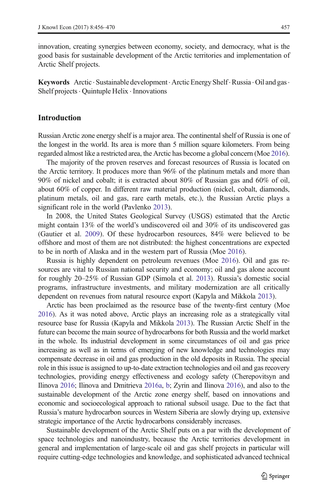innovation, creating synergies between economy, society, and democracy, what is the good basis for sustainable development of the Arctic territories and implementation of Arctic Shelf projects.

**Keywords** Arctic  $\cdot$  Sustainable development  $\cdot$  Arctic Energy Shelf  $\cdot$  Russia  $\cdot$  Oil and gas. Shelf projects  $\cdot$  Ouintuple Helix  $\cdot$  Innovations

#### Introduction

Russian Arctic zone energy shelf is a major area. The continental shelf of Russia is one of the longest in the world. Its area is more than 5 million square kilometers. From being regarded almost like a restricted area, the Arctic has become a global concern (Moe [2016\)](#page-13-0).

The majority of the proven reserves and forecast resources of Russia is located on the Arctic territory. It produces more than 96% of the platinum metals and more than 90% of nickel and cobalt; it is extracted about 80% of Russian gas and 60% of oil, about 60% of copper. In different raw material production (nickel, cobalt, diamonds, platinum metals, oil and gas, rare earth metals, etc.), the Russian Arctic plays a significant role in the world (Pavlenko [2013](#page-13-0)).

In 2008, the United States Geological Survey (USGS) estimated that the Arctic might contain 13% of the world's undiscovered oil and 30% of its undiscovered gas (Gautier et al. [2009\)](#page-13-0). Of these hydrocarbon resources, 84% were believed to be offshore and most of them are not distributed: the highest concentrations are expected to be in north of Alaska and in the western part of Russia (Moe [2016\)](#page-13-0).

Russia is highly dependent on petroleum revenues (Moe [2016](#page-13-0)). Oil and gas resources are vital to Russian national security and economy; oil and gas alone account for roughly 20–25% of Russian GDP (Simola et al. [2013](#page-14-0)). Russia's domestic social programs, infrastructure investments, and military modernization are all critically dependent on revenues from natural resource export (Kapyla and Mikkola [2013](#page-13-0)).

Arctic has been proclaimed as the resource base of the twenty-first century (Moe [2016](#page-13-0)). As it was noted above, Arctic plays an increasing role as a strategically vital resource base for Russia (Kapyla and Mikkola [2013](#page-13-0)). The Russian Arctic Shelf in the future can become the main source of hydrocarbons for both Russia and the world market in the whole. Its industrial development in some circumstances of oil and gas price increasing as well as in terms of emerging of new knowledge and technologies may compensate decrease in oil and gas production in the old deposits in Russia. The special role in this issue is assigned to up-to-date extraction technologies and oil and gas recovery technologies, providing energy effectiveness and ecology safety (Cherepovitsyn and Ilinova [2016;](#page-13-0) Ilinova and Dmitrieva [2016a,](#page-13-0) [b](#page-13-0); Zyrin and Ilinova [2016\)](#page-14-0), and also to the sustainable development of the Arctic zone energy shelf, based on innovations and economic and socioecological approach to rational subsoil usage. Due to the fact that Russia's mature hydrocarbon sources in Western Siberia are slowly drying up, extensive strategic importance of the Arctic hydrocarbons considerably increases.

Sustainable development of the Arctic Shelf puts on a par with the development of space technologies and nanoindustry, because the Arctic territories development in general and implementation of large-scale oil and gas shelf projects in particular will require cutting-edge technologies and knowledge, and sophisticated advanced technical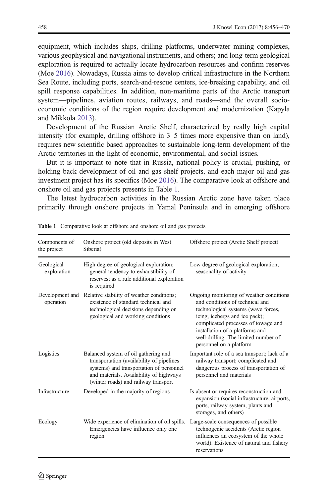equipment, which includes ships, drilling platforms, underwater mining complexes, various geophysical and navigational instruments, and others; and long-term geological exploration is required to actually locate hydrocarbon resources and confirm reserves (Moe [2016\)](#page-13-0). Nowadays, Russia aims to develop critical infrastructure in the Northern Sea Route, including ports, search-and-rescue centers, ice-breaking capability, and oil spill response capabilities. In addition, non-maritime parts of the Arctic transport system—pipelines, aviation routes, railways, and roads—and the overall socioeconomic conditions of the region require development and modernization (Kapyla and Mikkola [2013\)](#page-13-0).

Development of the Russian Arctic Shelf, characterized by really high capital intensity (for example, drilling offshore in 3–5 times more expensive than on land), requires new scientific based approaches to sustainable long-term development of the Arctic territories in the light of economic, environmental, and social issues.

But it is important to note that in Russia, national policy is crucial, pushing, or holding back development of oil and gas shelf projects, and each major oil and gas investment project has its specifics (Moe [2016\)](#page-13-0). The comparative look at offshore and onshore oil and gas projects presents in Table 1.

The latest hydrocarbon activities in the Russian Arctic zone have taken place primarily through onshore projects in Yamal Peninsula and in emerging offshore

| Components of<br>the project | Onshore project (old deposits in West<br>Siberia)                                                                                                                                                                | Offshore project (Arctic Shelf project)                                                                                                                                                                                                                                                           |
|------------------------------|------------------------------------------------------------------------------------------------------------------------------------------------------------------------------------------------------------------|---------------------------------------------------------------------------------------------------------------------------------------------------------------------------------------------------------------------------------------------------------------------------------------------------|
| Geological<br>exploration    | High degree of geological exploration;<br>general tendency to exhaustibility of<br>reserves; as a rule additional exploration<br>is required                                                                     | Low degree of geological exploration;<br>seasonality of activity                                                                                                                                                                                                                                  |
| Development and<br>operation | Relative stability of weather conditions;<br>existence of standard technical and<br>technological decisions depending on<br>geological and working conditions                                                    | Ongoing monitoring of weather conditions<br>and conditions of technical and<br>technological systems (wave forces,<br>icing, icebergs and ice pack);<br>complicated processes of towage and<br>installation of a platforms and<br>well-drilling. The limited number of<br>personnel on a platform |
| Logistics                    | Balanced system of oil gathering and<br>transportation (availability of pipelines<br>systems) and transportation of personnel<br>and materials. Availability of highways<br>(winter roads) and railway transport | Important role of a sea transport; lack of a<br>railway transport; complicated and<br>dangerous process of transportation of<br>personnel and materials                                                                                                                                           |
| Infrastructure               | Developed in the majority of regions                                                                                                                                                                             | Is absent or requires reconstruction and<br>expansion (social infrastructure, airports,<br>ports, railway system, plants and<br>storages, and others)                                                                                                                                             |
| Ecology                      | Wide experience of elimination of oil spills.<br>Emergencies have influence only one<br>region                                                                                                                   | Large-scale consequences of possible<br>technogenic accidents (Arctic region<br>influences an ecosystem of the whole<br>world). Existence of natural and fishery<br>reservations                                                                                                                  |

Table 1 Comparative look at offshore and onshore oil and gas projects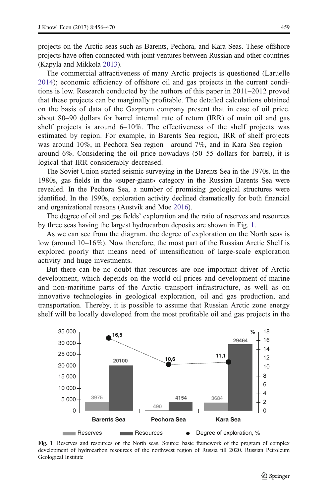projects on the Arctic seas such as Barents, Pechora, and Kara Seas. These offshore projects have often connected with joint ventures between Russian and other countries (Kapyla and Mikkola [2013\)](#page-13-0).

The commercial attractiveness of many Arctic projects is questioned (Laruelle [2014](#page-13-0)); economic efficiency of offshore oil and gas projects in the current conditions is low. Research conducted by the authors of this paper in 2011–2012 proved that these projects can be marginally profitable. The detailed calculations obtained on the basis of data of the Gazprom company present that in case of oil price, about 80–90 dollars for barrel internal rate of return (IRR) of main oil and gas shelf projects is around  $6-10\%$ . The effectiveness of the shelf projects was estimated by region. For example, in Barents Sea region, IRR of shelf projects was around 10%, in Pechora Sea region—around 7%, and in Kara Sea region around 6%. Considering the oil price nowadays (50–55 dollars for barrel), it is logical that IRR considerably decreased.

The Soviet Union started seismic surveying in the Barents Sea in the 1970s. In the 1980s, gas fields in the «super-giant» category in the Russian Barents Sea were revealed. In the Pechora Sea, a number of promising geological structures were identified. In the 1990s, exploration activity declined dramatically for both financial and organizational reasons (Austvik and Moe [2016](#page-12-0)).

The degree of oil and gas fields' exploration and the ratio of reserves and resources by three seas having the largest hydrocarbon deposits are shown in Fig. 1.

As we can see from the diagram, the degree of exploration on the North seas is low (around 10–16%). Now therefore, the most part of the Russian Arctic Shelf is explored poorly that means need of intensification of large-scale exploration activity and huge investments.

But there can be no doubt that resources are one important driver of Arctic development, which depends on the world oil prices and development of marine and non-maritime parts of the Arctic transport infrastructure, as well as on innovative technologies in geological exploration, oil and gas production, and transportation. Thereby, it is possible to assume that Russian Arctic zone energy shelf will be locally developed from the most profitable oil and gas projects in the



Fig. 1 Reserves and resources on the North seas. Source: basic framework of the program of complex development of hydrocarbon resources of the northwest region of Russia till 2020. Russian Petroleum Geological Institute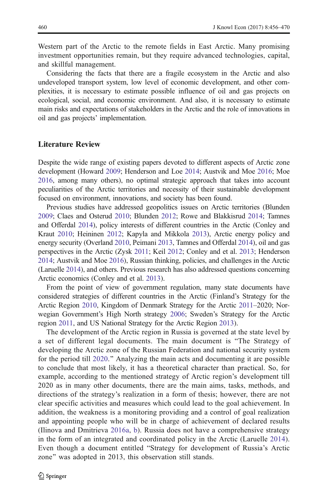Western part of the Arctic to the remote fields in East Arctic. Many promising investment opportunities remain, but they require advanced technologies, capital, and skillful management.

Considering the facts that there are a fragile ecosystem in the Arctic and also undeveloped transport system, low level of economic development, and other complexities, it is necessary to estimate possible influence of oil and gas projects on ecological, social, and economic environment. And also, it is necessary to estimate main risks and expectations of stakeholders in the Arctic and the role of innovations in oil and gas projects' implementation.

#### Literature Review

Despite the wide range of existing papers devoted to different aspects of Arctic zone development (Howard [2009](#page-13-0); Henderson and Loe [2014](#page-13-0); Austvik and Moe [2016;](#page-12-0) Moe [2016,](#page-13-0) among many others), no optimal strategic approach that takes into account peculiarities of the Arctic territories and necessity of their sustainable development focused on environment, innovations, and society has been found.

Previous studies have addressed geopolitics issues on Arctic territories (Blunden [2009;](#page-12-0) Claes and Osterud [2010](#page-13-0); Blunden [2012;](#page-12-0) Rowe and Blakkisrud [2014;](#page-14-0) Tamnes and Offerdal [2014\)](#page-14-0), policy interests of different countries in the Arctic (Conley and Kraut [2010;](#page-13-0) Heininen [2012](#page-13-0); Kapyla and Mikkola [2013](#page-13-0)), Arctic energy policy and energy security (Overland [2010](#page-13-0), Peimani [2013](#page-14-0), Tamnes and Offerdal [2014\)](#page-14-0), oil and gas perspectives in the Arctic (Zysk [2011](#page-14-0); Keil [2012](#page-13-0); Conley and et al. [2013](#page-13-0); Henderson [2014;](#page-13-0) Austvik and Moe [2016\)](#page-12-0), Russian thinking, policies, and challenges in the Arctic (Laruelle [2014](#page-13-0)), and others. Previous research has also addressed questions concerning Arctic economics (Conley and et al. [2013](#page-13-0)).

From the point of view of government regulation, many state documents have considered strategies of different countries in the Arctic (Finland's Strategy for the Arctic Region [2010,](#page-13-0) Kingdom of Denmark Strategy for the Arctic [2011](#page-13-0)–2020; Norwegian Government's High North strategy [2006;](#page-13-0) Sweden's Strategy for the Arctic region [2011,](#page-14-0) and US National Strategy for the Arctic Region [2013\)](#page-13-0).

The development of the Arctic region in Russia is governed at the state level by a set of different legal documents. The main document is "The Strategy of developing the Arctic zone of the Russian Federation and national security system for the period till [2020.](#page-14-0)<sup>"</sup> Analyzing the main acts and documenting it are possible to conclude that most likely, it has a theoretical character than practical. So, for example, according to the mentioned strategy of Arctic region's development till 2020 as in many other documents, there are the main aims, tasks, methods, and directions of the strategy's realization in a form of thesis; however, there are not clear specific activities and measures which could lead to the goal achievement. In addition, the weakness is a monitoring providing and a control of goal realization and appointing people who will be in charge of achievement of declared results (Ilinova and Dmitrieva [2016a](#page-13-0), [b](#page-13-0)). Russia does not have a comprehensive strategy in the form of an integrated and coordinated policy in the Arctic (Laruelle [2014\)](#page-13-0). Even though a document entitled "Strategy for development of Russia's Arctic zone" was adopted in 2013, this observation still stands.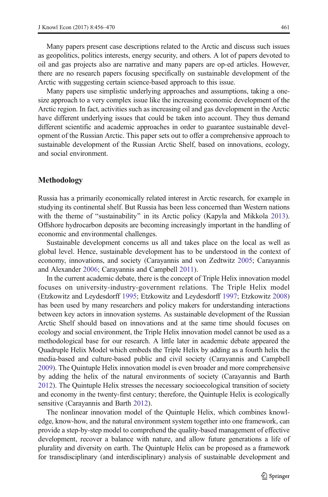Many papers present case descriptions related to the Arctic and discuss such issues as geopolitics, politics interests, energy security, and others. A lot of papers devoted to oil and gas projects also are narrative and many papers are op-ed articles. However, there are no research papers focusing specifically on sustainable development of the Arctic with suggesting certain science-based approach to this issue.

Many papers use simplistic underlying approaches and assumptions, taking a onesize approach to a very complex issue like the increasing economic development of the Arctic region. In fact, activities such as increasing oil and gas development in the Arctic have different underlying issues that could be taken into account. They thus demand different scientific and academic approaches in order to guarantee sustainable development of the Russian Arctic. This paper sets out to offer a comprehensive approach to sustainable development of the Russian Arctic Shelf, based on innovations, ecology, and social environment.

#### Methodology

Russia has a primarily economically related interest in Arctic research, for example in studying its continental shelf. But Russia has been less concerned than Western nations with the theme of "sustainability" in its Arctic policy (Kapyla and Mikkola [2013\)](#page-13-0). Offshore hydrocarbon deposits are becoming increasingly important in the handling of economic and environmental challenges.

Sustainable development concerns us all and takes place on the local as well as global level. Hence, sustainable development has to be understood in the context of economy, innovations, and society (Carayannis and von Zedtwitz [2005](#page-12-0); Carayannis and Alexander [2006;](#page-12-0) Carayannis and Campbell [2011\)](#page-12-0).

In the current academic debate, there is the concept of Triple Helix innovation model focuses on university-industry-government relations. The Triple Helix model (Etzkowitz and Leydesdorff [1995](#page-13-0); Etzkowitz and Leydesdorff [1997;](#page-13-0) Etzkowitz [2008](#page-13-0)) has been used by many researchers and policy makers for understanding interactions between key actors in innovation systems. As sustainable development of the Russian Arctic Shelf should based on innovations and at the same time should focuses on ecology and social environment, the Triple Helix innovation model cannot be used as a methodological base for our research. A little later in academic debate appeared the Quadruple Helix Model which embeds the Triple Helix by adding as a fourth helix the media-based and culture-based public and civil society (Carayannis and Campbell [2009\)](#page-12-0). The Quintuple Helix innovation model is even broader and more comprehensive by adding the helix of the natural environments of society (Carayannis and Barth [2012\)](#page-12-0). The Quintuple Helix stresses the necessary socioecological transition of society and economy in the twenty-first century; therefore, the Quintuple Helix is ecologically sensitive (Carayannis and Barth [2012](#page-12-0)).

The nonlinear innovation model of the Quintuple Helix, which combines knowledge, know-how, and the natural environment system together into one framework, can provide a step-by-step model to comprehend the quality-based management of effective development, recover a balance with nature, and allow future generations a life of plurality and diversity on earth. The Quintuple Helix can be proposed as a framework for transdisciplinary (and interdisciplinary) analysis of sustainable development and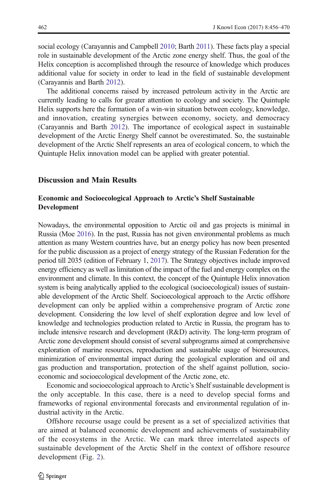social ecology (Carayannis and Campbell [2010;](#page-12-0) Barth [2011](#page-12-0)). These facts play a special role in sustainable development of the Arctic zone energy shelf. Thus, the goal of the Helix conception is accomplished through the resource of knowledge which produces additional value for society in order to lead in the field of sustainable development (Carayannis and Barth [2012\)](#page-12-0).

The additional concerns raised by increased petroleum activity in the Arctic are currently leading to calls for greater attention to ecology and society. The Quintuple Helix supports here the formation of a win-win situation between ecology, knowledge, and innovation, creating synergies between economy, society, and democracy (Carayannis and Barth [2012\)](#page-12-0). The importance of ecological aspect in sustainable development of the Arctic Energy Shelf cannot be overestimated. So, the sustainable development of the Arctic Shelf represents an area of ecological concern, to which the Quintuple Helix innovation model can be applied with greater potential.

#### Discussion and Main Results

# Economic and Socioecological Approach to Arctic's Shelf Sustainable Development

Nowadays, the environmental opposition to Arctic oil and gas projects is minimal in Russia (Moe [2016](#page-13-0)). In the past, Russia has not given environmental problems as much attention as many Western countries have, but an energy policy has now been presented for the public discussion as a project of energy strategy of the Russian Federation for the period till 2035 (edition of February 1, [2017\)](#page-13-0). The Strategy objectives include improved energy efficiency as well as limitation of the impact of the fuel and energy complex on the environment and climate. In this context, the concept of the Quintuple Helix innovation system is being analytically applied to the ecological (socioecological) issues of sustainable development of the Arctic Shelf. Socioecological approach to the Arctic offshore development can only be applied within a comprehensive program of Arctic zone development. Considering the low level of shelf exploration degree and low level of knowledge and technologies production related to Arctic in Russia, the program has to include intensive research and development (R&D) activity. The long-term program of Arctic zone development should consist of several subprograms aimed at comprehensive exploration of marine resources, reproduction and sustainable usage of bioresources, minimization of environmental impact during the geological exploration and oil and gas production and transportation, protection of the shelf against pollution, socioeconomic and socioecological development of the Arctic zone, etc.

Economic and socioecological approach to Arctic's Shelf sustainable development is the only acceptable. In this case, there is a need to develop special forms and frameworks of regional environmental forecasts and environmental regulation of industrial activity in the Arctic.

Offshore recourse usage could be present as a set of specialized activities that are aimed at balanced economic development and achievements of sustainability of the ecosystems in the Arctic. We can mark three interrelated aspects of sustainable development of the Arctic Shelf in the context of offshore resource development (Fig. [2\)](#page-7-0).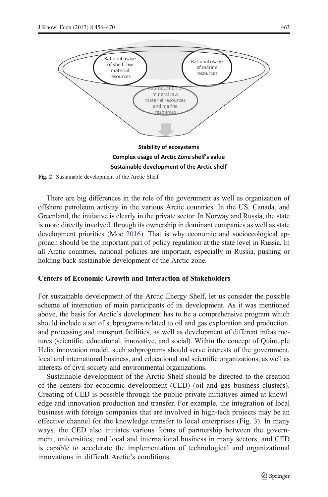<span id="page-7-0"></span>

Fig. 2 Sustainable development of the Arctic Shelf

There are big differences in the role of the government as well as organization of offshore petroleum activity in the various Arctic countries. In the US, Canada, and Greenland, the initiative is clearly in the private sector. In Norway and Russia, the state is more directly involved, through its ownership in dominant companies as well as state development priorities (Moe [2016\)](#page-13-0). That is why economic and socioecological approach should be the important part of policy regulation at the state level in Russia. In all Arctic countries, national policies are important, especially in Russia, pushing or holding back sustainable development of the Arctic zone.

# Centers of Economic Growth and Interaction of Stakeholders

For sustainable development of the Arctic Energy Shelf, let us consider the possible scheme of interaction of main participants of its development. As it was mentioned above, the basis for Arctic's development has to be a comprehensive program which should include a set of subprograms related to oil and gas exploration and production, and processing and transport facilities, as well as development of different infrastructures (scientific, educational, innovative, and social). Within the concept of Quintuple Helix innovation model, such subprograms should serve interests of the government, local and international business, and educational and scientific organizations, as well as interests of civil society and environmental organizations.

Sustainable development of the Arctic Shelf should be directed to the creation of the centers for economic development (CED) (oil and gas business clusters). Creating of CED is possible through the public-private initiatives aimed at knowledge and innovation production and transfer. For example, the integration of local business with foreign companies that are involved in high-tech projects may be an effective channel for the knowledge transfer to local enterprises (Fig. [3](#page-8-0)). In many ways, the CED also initiates various forms of partnership between the government, universities, and local and international business in many sectors, and CED is capable to accelerate the implementation of technological and organizational innovations in difficult Arctic's conditions.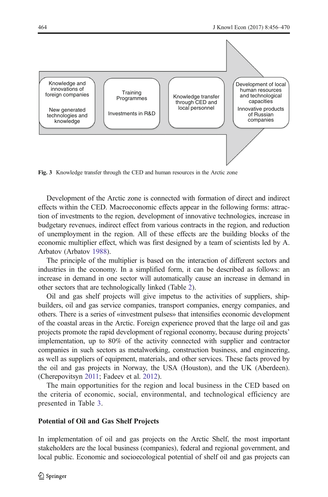<span id="page-8-0"></span>

Fig. 3 Knowledge transfer through the CED and human resources in the Arctic zone

Development of the Arctic zone is connected with formation of direct and indirect effects within the CED. Macroeconomic effects appear in the following forms: attraction of investments to the region, development of innovative technologies, increase in budgetary revenues, indirect effect from various contracts in the region, and reduction of unemployment in the region. All of these effects are the building blocks of the economic multiplier effect, which was first designed by a team of scientists led by A. Arbatov (Arbatov [1988](#page-12-0)).

The principle of the multiplier is based on the interaction of different sectors and industries in the economy. In a simplified form, it can be described as follows: an increase in demand in one sector will automatically cause an increase in demand in other sectors that are technologically linked (Table [2](#page-9-0)).

Oil and gas shelf projects will give impetus to the activities of suppliers, shipbuilders, oil and gas service companies, transport companies, energy companies, and others. There is a series of «investment pulses» that intensifies economic development of the coastal areas in the Arctic. Foreign experience proved that the large oil and gas projects promote the rapid development of regional economy, because during projects' implementation, up to 80% of the activity connected with supplier and contractor companies in such sectors as metalworking, construction business, and engineering, as well as suppliers of equipment, materials, and other services. These facts proved by the oil and gas projects in Norway, the USA (Houston), and the UK (Aberdeen). (Cherepovitsyn [2011;](#page-13-0) Fadeev et al. [2012](#page-13-0)).

The main opportunities for the region and local business in the CED based on the criteria of economic, social, environmental, and technological efficiency are presented in Table [3.](#page-9-0)

# Potential of Oil and Gas Shelf Projects

In implementation of oil and gas projects on the Arctic Shelf, the most important stakeholders are the local business (companies), federal and regional government, and local public. Economic and socioecological potential of shelf oil and gas projects can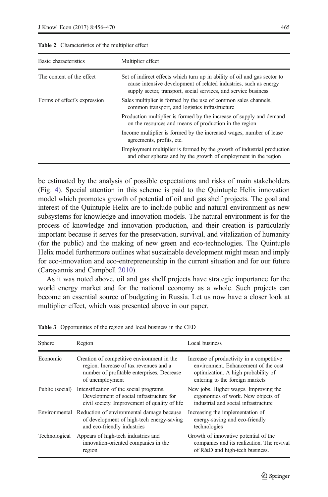| Multiplier effect                                                                                                                                                                                                 |  |  |  |  |
|-------------------------------------------------------------------------------------------------------------------------------------------------------------------------------------------------------------------|--|--|--|--|
| Set of indirect effects which turn up in ability of oil and gas sector to<br>cause intensive development of related industries, such as energy<br>supply sector, transport, social services, and service business |  |  |  |  |
| Sales multiplier is formed by the use of common sales channels,<br>common transport, and logistics infrastructure                                                                                                 |  |  |  |  |
| Production multiplier is formed by the increase of supply and demand<br>on the resources and means of production in the region                                                                                    |  |  |  |  |
| Income multiplier is formed by the increased wages, number of lease<br>agreements, profits, etc.                                                                                                                  |  |  |  |  |
| Employment multiplier is formed by the growth of industrial production<br>and other spheres and by the growth of employment in the region                                                                         |  |  |  |  |
|                                                                                                                                                                                                                   |  |  |  |  |

<span id="page-9-0"></span>Table 2 Characteristics of the multiplier effect

be estimated by the analysis of possible expectations and risks of main stakeholders (Fig. [4](#page-10-0)). Special attention in this scheme is paid to the Quintuple Helix innovation model which promotes growth of potential of oil and gas shelf projects. The goal and interest of the Quintuple Helix are to include public and natural environment as new subsystems for knowledge and innovation models. The natural environment is for the process of knowledge and innovation production, and their creation is particularly important because it serves for the preservation, survival, and vitalization of humanity (for the public) and the making of new green and eco-technologies. The Quintuple Helix model furthermore outlines what sustainable development might mean and imply for eco-innovation and eco-entrepreneurship in the current situation and for our future (Carayannis and Campbell [2010\)](#page-12-0).

As it was noted above, oil and gas shelf projects have strategic importance for the world energy market and for the national economy as a whole. Such projects can become an essential source of budgeting in Russia. Let us now have a closer look at multiplier effect, which was presented above in our paper.

| Sphere          | Region                                                                                                                                                | Local business                                                                                                                                              |
|-----------------|-------------------------------------------------------------------------------------------------------------------------------------------------------|-------------------------------------------------------------------------------------------------------------------------------------------------------------|
| Economic        | Creation of competitive environment in the<br>region. Increase of tax revenues and a<br>number of profitable enterprises. Decrease<br>of unemployment | Increase of productivity in a competitive<br>environment. Enhancement of the cost<br>optimization. A high probability of<br>entering to the foreign markets |
| Public (social) | Intensification of the social programs.<br>Development of social infrastructure for<br>civil society. Improvement of quality of life                  | New jobs. Higher wages. Improving the<br>ergonomics of work. New objects of<br>industrial and social infrastructure                                         |
|                 | Environmental Reduction of environmental damage because<br>of development of high-tech energy-saving<br>and eco-friendly industries                   | Increasing the implementation of<br>energy-saving and eco-friendly<br>technologies                                                                          |
| Technological   | Appears of high-tech industries and<br>innovation-oriented companies in the<br>region                                                                 | Growth of innovative potential of the<br>companies and its realization. The revival<br>of R&D and high-tech business.                                       |

Table 3 Opportunities of the region and local business in the CED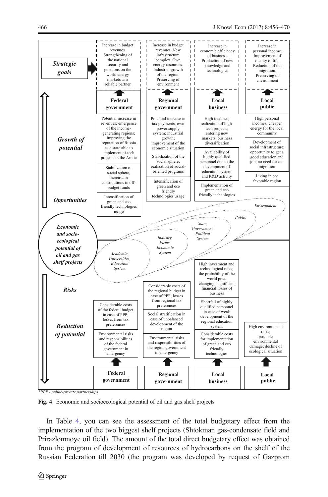<span id="page-10-0"></span>

*\*PPP - public-private partnerships* 

Fig. 4 Economic and socioecological potential of oil and gas shelf projects

In Table [4](#page-11-0), you can see the assessment of the total budgetary effect from the implementation of the two biggest shelf projects (Shtokman gas-condensate field and Prirazlomnoye oil field). The amount of the total direct budgetary effect was obtained from the program of development of resources of hydrocarbons on the shelf of the Russian Federation till 2030 (the program was developed by request of Gazprom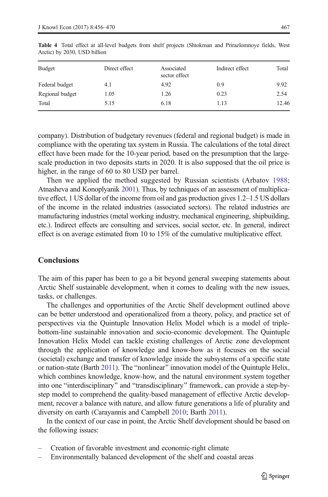Arctic) by 2030, USD billion

<span id="page-11-0"></span>

|  |  |  |  |  | <b>Table 4</b> Total effect at all-level budgets from shelf projects (Shtokman and Prirazlomnoye fields, West |  |
|--|--|--|--|--|---------------------------------------------------------------------------------------------------------------|--|

| <b>Budget</b>   | Direct effect | Associated<br>sector effect | Indirect effect | Total |  |
|-----------------|---------------|-----------------------------|-----------------|-------|--|
| Federal budget  | 4.1           | 4.92                        | 0.9             | 9.92  |  |
| Regional budget | 1.05          | 1.26                        | 0.23            | 2.54  |  |
| Total           | 5.15          | 6.18                        | 1.13            | 12.46 |  |
|                 |               |                             |                 |       |  |

company). Distribution of budgetary revenues (federal and regional budget) is made in compliance with the operating tax system in Russia. The calculations of the total direct effect have been made for the 10-year period, based on the presumption that the largescale production in two deposits starts in 2020. It is also supposed that the oil price is higher, in the range of 60 to 80 USD per barrel.

Then we applied the method suggested by Russian scientists (Arbatov [1988;](#page-12-0) Atnasheva and Konoplyanik [2001](#page-12-0)). Thus, by techniques of an assessment of multiplicative effect, 1 US dollar of the income from oil and gas production gives 1.2–1.5 US dollars of the income in the related industries (associated sectors). The related industries are manufacturing industries (metal working industry, mechanical engineering, shipbuilding, etc.). Indirect effects are consulting and services, social sector, etc. In general, indirect effect is on average estimated from 10 to 15% of the cumulative multiplicative effect.

# **Conclusions**

The aim of this paper has been to go a bit beyond general sweeping statements about Arctic Shelf sustainable development, when it comes to dealing with the new issues, tasks, or challenges.

The challenges and opportunities of the Arctic Shelf development outlined above can be better understood and operationalized from a theory, policy, and practice set of perspectives via the Quintuple Innovation Helix Model which is a model of triplebottom-line sustainable innovation and socio-economic development. The Quintuple Innovation Helix Model can tackle existing challenges of Arctic zone development through the application of knowledge and know-how as it focuses on the social (societal) exchange and transfer of knowledge inside the subsystems of a specific state or nation-state (Barth [2011\)](#page-12-0). The "nonlinear" innovation model of the Quintuple Helix, which combines knowledge, know-how, and the natural environment system together into one "interdisciplinary" and "transdisciplinary" framework, can provide a step-bystep model to comprehend the quality-based management of effective Arctic development, recover a balance with nature, and allow future generations a life of plurality and diversity on earth (Carayannis and Campbell [2010](#page-12-0); Barth [2011\)](#page-12-0).

In the context of our case in point, the Arctic Shelf development should be based on the following issues:

- Creation of favorable investment and economic-right climate
- Environmentally balanced development of the shelf and coastal areas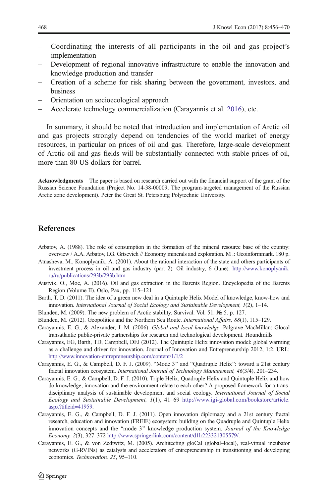- <span id="page-12-0"></span>– Coordinating the interests of all participants in the oil and gas project's implementation
- Development of regional innovative infrastructure to enable the innovation and knowledge production and transfer
- Creation of a scheme for risk sharing between the government, investors, and business
- Orientation on socioecological approach
- Accelerate technology commercialization (Carayannis et al. [2016\)](#page-13-0), etc.

In summary, it should be noted that introduction and implementation of Arctic oil and gas projects strongly depend on tendencies of the world market of energy resources, in particular on prices of oil and gas. Therefore, large-scale development of Arctic oil and gas fields will be substantially connected with stable prices of oil, more than 80 US dollars for barrel.

Acknowledgments The paper is based on research carried out with the financial support of the grant of the Russian Science Foundation (Project No. 14-38-00009, The program-targeted management of the Russian Arctic zone development). Peter the Great St. Petersburg Polytechnic University.

# **References**

- Arbatov, A. (1988). The role of consumption in the formation of the mineral resource base of the country: overview / A.A. Arbatov, I.G. Grtsevich // Economy minerals and exploration. M .: Geoinformmark. 180 p.
- Atnasheva, M., Konoplyanik, A. (2001). About the rational interaction of the state and others participants of investment process in oil and gas industry (part 2). Oil industry, 6 (June). [http://www.konoplyanik.](http://dx.doi.org/http://www.konoplyanik.ru/ru/publications/293b/293b.htm) [ru/ru/publications/293b/293b.htm](http://dx.doi.org/http://www.konoplyanik.ru/ru/publications/293b/293b.htm)
- Austvik, O., Moe, A. (2016). Oil and gas extraction in the Barents Region. Encyclopedia of the Barents Region (Volume II). Oslo, Pax, pp. 115–121
- Barth, T. D. (2011). The idea of a green new deal in a Quintuple Helix Model of knowledge, know-how and innovation. International Journal of Social Ecology and Sustainable Development, 1(2), 1–14.
- Blunden, M. (2009). The new problem of Arctic stability. Survival. Vol. 51. № 5. p. 127.
- Blunden, M. (2012). Geopolitics and the Northern Sea Route. International Affairs, 88(1), 115–129.
- Carayannis, E. G., & Alexander, J. M. (2006). Global and local knowledge. Palgrave MacMillan: Glocal transatlantic public-private partnerships for research and technological development. Houndmills.
- Carayannis, EG, Barth, TD, Campbell, DFJ (2012). The Quintuple Helix innovation model: global warming as a challenge and driver for innovation. Journal of Innovation and Entrepreneurship 2012, 1:2. URL: [http://www.innovation-entrepreneurship.com/content/1/1/2](http://dx.doi.org/http://www.innovation-entrepreneurship.com/content/1/1/2)
- Carayannis, E. G., & Campbell, D. F. J. (2009). "Mode 3" and "Quadruple Helix": toward a 21st century fractal innovation ecosystem. International Journal of Technology Management, 46(3/4), 201–234.
- Carayannis, E. G., & Campbell, D. F. J. (2010). Triple Helix, Quadruple Helix and Quintuple Helix and how do knowledge, innovation and the environment relate to each other? A proposed framework for a transdisciplinary analysis of sustainable development and social ecology. International Journal of Social Ecology and Sustainable Development, 1(1), 41–69 [http://www.igi-global.com/bookstore/article.](http://dx.doi.org/http://www.igi-global.com/bookstore/article.aspx?titleid=41959) [aspx?titleid=41959.](http://dx.doi.org/http://www.igi-global.com/bookstore/article.aspx?titleid=41959)
- Carayannis, E. G., & Campbell, D. F. J. (2011). Open innovation diplomacy and a 21st century fractal research, education and innovation (FREIE) ecosystem: building on the Quadruple and Quintuple Helix innovation concepts and the "mode 3" knowledge production system. Journal of the Knowledge Economy, 2(3), 327–372 [http://www.springerlink.com/content/d1lr223321305579/.](http://dx.doi.org/http://www.springerlink.com/content/d1lr223321305579/)
- Carayannis, E. G., & von Zedtwitz, M. (2005). Architecting gloCal (global–local), real-virtual incubator networks (G-RVINs) as catalysts and accelerators of entrepreneurship in transitioning and developing economies. Technovation, 25, 95–110.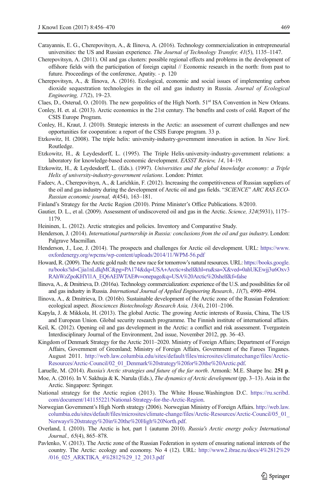- <span id="page-13-0"></span>Carayannis, E. G., Cherepovitsyn, A., & Ilinova, A. (2016). Technology commercialization in entrepreneurial universities: the US and Russian experience. The Journal of Technology Transfer, 41(5), 1135–1147.
- Cherepovitsyn, A. (2011). Oil and gas clusters: possible regional effects and problems in the development of offshore fields with the participation of foreign capital // Economic research in the north: from past to future. Proceedings of the conference, Apatity. - p. 120
- Cherepovitsyn, A., & Ilinova, A. (2016). Ecological, economic and social issues of implementing carbon dioxide sequestration technologies in the oil and gas industry in Russia. Journal of Ecological Engineering, 17(2), 19–23.
- Claes, D., Osterud, O. (2010). The new geopolitics of the High North. 51<sup>st</sup> ISA Convention in New Orleans.
- Conley, H. et. al. (2013). Arctic economics in the 21st century. The benefits and costs of cold. Report of the CSIS Europe Program.
- Conley, H., Kraut, J. (2010). Strategic interests in the Arctic: an assessment of current challenges and new opportunities for cooperation: a report of the CSIS Europe program. 33 p.
- Etzkowitz, H. (2008). The triple helix: university-industry-government innovation in action. In New York. Routledge.
- Etzkowitz, H., & Leydesdorff, L. (1995). The Triple Helix-university-industry-government relations: a laboratory for knowledge-based economic development. EASST Review, 14, 14–19.
- Etzkowitz, H., & Leydesdorff, L. (Eds.). (1997). Universities and the global knowledge economy: a Triple Helix of university-industry-government relations. London: Printer.
- Fadeev, A., Cherepovitsyn, A., & Larichkin, F. (2012). Increasing the competitiveness of Russian suppliers of the oil and gas industry during the development of Arctic oil and gas fields. "SCIENCE" ARC RAS ECO-Russian economic journal, 4(454), 163–181.
- Finland's Strategy for the Arctic Region (2010). Prime Minister's Office Publications. 8/2010.
- Gautier, D. L., et al. (2009). Assessment of undiscovered oil and gas in the Arctic. Science, 324(5931), 1175– 1179.
- Heininen, L. (2012). Arctic strategies and policies. Inventory and Comparative Study.
- Henderson, J. (2014). International partnership in Russia: conclusions from the oil and gas industry. London: Palgrave Macmillan.
- Henderson, J., Loe, J. (2014). The prospects and challenges for Arctic oil development. URL: [https://www.](http://dx.doi.org/https://www.oxfordenergy.org/wpcms/wp-content/uploads/2014/11/WPM-56.pdf) [oxfordenergy.org/wpcms/wp-content/uploads/2014/11/WPM-56.pdf](http://dx.doi.org/https://www.oxfordenergy.org/wpcms/wp-content/uploads/2014/11/WPM-56.pdf)
- Howard, R. (2009). The Arctic gold rush: the new race for tomorrow's natural resources. URL: [https://books.google.](http://dx.doi.org/https://books.google.ru/books?id=Cjia1nLdlqMC&pg=PA174&dq=USA+Arctic+shelf&hl=ru&sa=X&ved=0ahUKEwjj3u6Oxv3RAhWzZpoKHYl1A_EQ6AEIWTAE%23v=onepage&q=USA%20Arctic%20shelf&f=false) [ru/books?id=Cjia1nLdlqMC&pg=PA174&dq=USA+Arctic+shelf&hl=ru&sa=X&ved=0ahUKEwjj3u6Oxv3](http://dx.doi.org/https://books.google.ru/books?id=Cjia1nLdlqMC&pg=PA174&dq=USA+Arctic+shelf&hl=ru&sa=X&ved=0ahUKEwjj3u6Oxv3RAhWzZpoKHYl1A_EQ6AEIWTAE%23v=onepage&q=USA%20Arctic%20shelf&f=false) [RAhWzZpoKHYl1A\\_EQ6AEIWTAE#v=onepage&q=USA%20Arctic%20shelf&f=false](http://dx.doi.org/https://books.google.ru/books?id=Cjia1nLdlqMC&pg=PA174&dq=USA+Arctic+shelf&hl=ru&sa=X&ved=0ahUKEwjj3u6Oxv3RAhWzZpoKHYl1A_EQ6AEIWTAE%23v=onepage&q=USA%20Arctic%20shelf&f=false)
- Ilinova, A., & Dmitrieva, D. (2016a). Technology commercialization: experience of the U.S. and possibilities for oil and gas industry in Russia. International Journal of Applied Engineering Research., 11(7), 4990–4994.
- Ilinova, A., & Dmitrieva, D. (2016b). Sustainable development of the Arctic zone of the Russian Federation: ecological aspect. Biosciences Biotechnology Research Asia, 13(4), 2101–2106.
- Kapyla, J. & Mikkola, H. (2013). The global Arctic. The growing Arctic interests of Russia, China, The US and European Union. Global security research programme. The Finnish institute of international affairs.
- Keil, K. (2012). Opening oil and gas development in the Arctic: a conflict and risk assessment. Tvergastein Interdisciplinary Journal of the Environment, 2nd issue, November 2012, pp. 36–43.
- Kingdom of Denmark Strategy for the Arctic 2011–2020. Ministry of Foreign Affairs; Department of Foreign Affairs, Government of Greenland; Ministry of Foreign Affairs, Government of the Faroes Tinganes. August 2011. [http://web.law.columbia.edu/sites/default/files/microsites/climatechange/files/Arctic-](http://dx.doi.org/http://web.law.columbia.edu/sites/default/files/microsites/climatechange/files/Arctic-Resources/Arctic-Council/02_01_Denmark%20strategy%20for%20the%20Arctic.pdf)[Resources/Arctic-Council/02\\_01\\_Denmark%20strategy%20for%20the%20Arctic.pdf](http://dx.doi.org/http://web.law.columbia.edu/sites/default/files/microsites/climatechange/files/Arctic-Resources/Arctic-Council/02_01_Denmark%20strategy%20for%20the%20Arctic.pdf).
- Laruelle, M. (2014). Russia's Arctic strategies and future of the far north. Armonk: M.E. Sharpe Inc. 251 p.
- Moe, A. (2016). In V. Sakhuja & K. Narula (Eds.), *The dynamics of Arctic development* (pp. 3–13). Asia in the Arctic. Singapore: Springer.
- National strategy for the Arctic region (2013). The White House.Washington D.C. [https://ru.scribd.](http://dx.doi.org/https://ru.scribd.com/document/141155221/National-Strategy-for-the-Arctic-Region) [com/document/141155221/National-Strategy-for-the-Arctic-Region.](http://dx.doi.org/https://ru.scribd.com/document/141155221/National-Strategy-for-the-Arctic-Region)
- Norwegian Government's High North strategy (2006). Norwegian Ministry of Foreign Affairs. [http://web.law.](http://dx.doi.org/http://web.law.columbia.edu/sites/default/files/microsites/climate-change/files/Arctic-Resources/Arctic-Council/05_01_Norways%20strategy%20in%20the%20High%20North.pdf) [columbia.edu/sites/default/files/microsites/climate-change/files/Arctic-Resources/Arctic-Council/05\\_01\\_](http://dx.doi.org/http://web.law.columbia.edu/sites/default/files/microsites/climate-change/files/Arctic-Resources/Arctic-Council/05_01_Norways%20strategy%20in%20the%20High%20North.pdf) [Norways%20strategy%20in%20the%20High%20North.pdf](http://dx.doi.org/http://web.law.columbia.edu/sites/default/files/microsites/climate-change/files/Arctic-Resources/Arctic-Council/05_01_Norways%20strategy%20in%20the%20High%20North.pdf).
- Overland, I. (2010). The Arctic is hot, part 1 (autumn 2010). Russia's Arctic energy policy International Journal., 65(4), 865–878.
- Pavlenko, V. (2013). The Arctic zone of the Russian Federation in system of ensuring national interests of the country. The Arctic: ecology and economy. No 4 (12). URL: [http://www2.ibrae.ru/docs/4%2812%29](http://dx.doi.org/http://www2.ibrae.ru/docs/4%2812%29/016_025_ARKTIKA_4%2812%29_12_2013.pdf) [/016\\_025\\_ARKTIKA\\_4%2812%29\\_12\\_2013.pdf](http://dx.doi.org/http://www2.ibrae.ru/docs/4%2812%29/016_025_ARKTIKA_4%2812%29_12_2013.pdf)